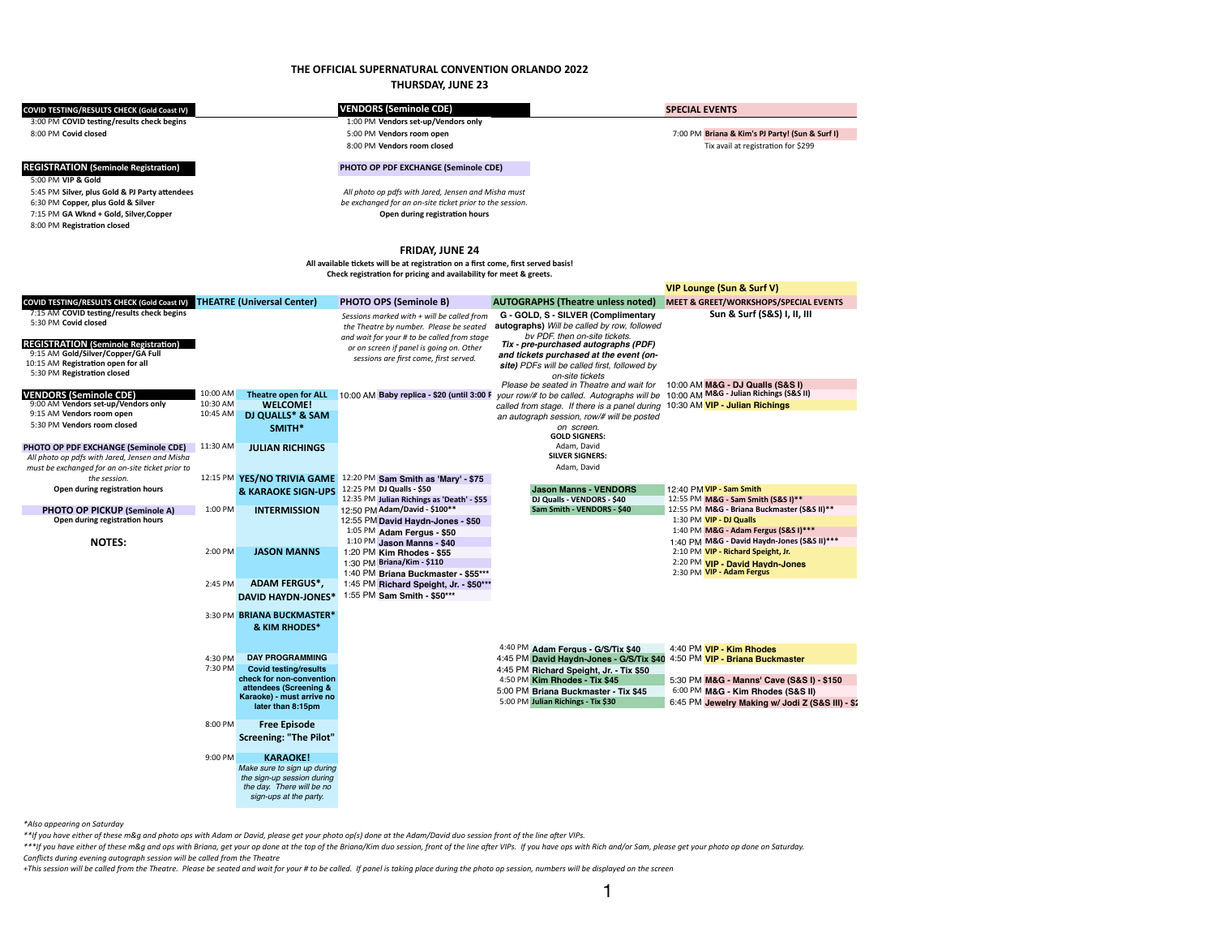# **THE OFFICIAL SUPERNATURAL CONVENTION ORLANDO 2022**

|                                                                       |          |                                   | THE OFFICIAL SUPERNATURAL CONVENTION ORLANDO 2022                                  |                                                          |                                                                                   |
|-----------------------------------------------------------------------|----------|-----------------------------------|------------------------------------------------------------------------------------|----------------------------------------------------------|-----------------------------------------------------------------------------------|
|                                                                       |          |                                   | <b>THURSDAY, JUNE 23</b>                                                           |                                                          |                                                                                   |
| <b>COVID TESTING/RESULTS CHECK (Gold Coast IV)</b>                    |          |                                   | <b>VENDORS (Seminole CDE)</b>                                                      |                                                          | <b>SPECIAL EVENTS</b>                                                             |
|                                                                       |          |                                   |                                                                                    |                                                          |                                                                                   |
| 3:00 PM COVID testing/results check begins                            |          |                                   | 1:00 PM Vendors set-up/Vendors only                                                |                                                          |                                                                                   |
| 8:00 PM Covid closed                                                  |          |                                   | 5:00 PM Vendors room open                                                          |                                                          | 7:00 PM Briana & Kim's PJ Party! (Sun & Surf I)                                   |
|                                                                       |          |                                   | 8:00 PM Vendors room closed                                                        |                                                          | Tix avail at registration for \$299                                               |
| <b>REGISTRATION (Seminole Registration)</b><br>5:00 PM VIP & Gold     |          |                                   | <b>PHOTO OP PDF EXCHANGE (Seminole CDE)</b>                                        |                                                          |                                                                                   |
| 5:45 PM Silver, plus Gold & PJ Party attendees                        |          |                                   | All photo op pdfs with Jared, Jensen and Misha must                                |                                                          |                                                                                   |
| 6:30 PM Copper, plus Gold & Silver                                    |          |                                   | be exchanged for an on-site ticket prior to the session.                           |                                                          |                                                                                   |
| 7:15 PM GA Wknd + Gold, Silver, Copper                                |          |                                   | Open during registration hours                                                     |                                                          |                                                                                   |
| 8:00 PM Registration closed                                           |          |                                   |                                                                                    |                                                          |                                                                                   |
|                                                                       |          |                                   |                                                                                    |                                                          |                                                                                   |
|                                                                       |          |                                   | <b>FRIDAY, JUNE 24</b>                                                             |                                                          |                                                                                   |
|                                                                       |          |                                   | All available tickets will be at registration on a first come, first served basis! |                                                          |                                                                                   |
|                                                                       |          |                                   | Check registration for pricing and availability for meet & greets.                 |                                                          |                                                                                   |
|                                                                       |          |                                   |                                                                                    |                                                          | <b>VIP Lounge (Sun &amp; Surf V)</b>                                              |
| <b>COVID TESTING/RESULTS CHECK (Gold Coast IV)</b>                    |          | <b>THEATRE (Universal Center)</b> | <b>PHOTO OPS (Seminole B)</b>                                                      | <b>AUTOGRAPHS (Theatre unless noted)</b>                 | <b>MEET &amp; GREET/WORKSHOPS/SPECIAL EVENTS</b>                                  |
| 7:15 AM COVID testing/results check begins                            |          |                                   | Sessions marked with + will be called from                                         | G - GOLD, S - SILVER (Complimentary                      | <b>Sun &amp; Surf (S&amp;S) I, II, III</b>                                        |
| 5:30 PM Covid closed                                                  |          |                                   | the Theatre by number. Please be seated                                            | autographs) Will be called by row, followed              |                                                                                   |
|                                                                       |          |                                   | and wait for your # to be called from stage                                        | by PDF. then on-site tickets.                            |                                                                                   |
| <b>REGISTRATION (Seminole Registration)</b>                           |          |                                   | or on screen if panel is going on. Other                                           | Tix - pre-purchased autographs (PDF)                     |                                                                                   |
| 9:15 AM Gold/Silver/Copper/GA Full                                    |          |                                   | sessions are first come, first served.                                             | and tickets purchased at the event (on-                  |                                                                                   |
| 10:15 AM Registration open for all                                    |          |                                   |                                                                                    | site) PDFs will be called first, followed by             |                                                                                   |
| 5:30 PM Registration closed                                           |          |                                   |                                                                                    | on-site tickets                                          |                                                                                   |
|                                                                       |          |                                   |                                                                                    | Please be seated in Theatre and wait for                 | 10:00 AM M&G - DJ Qualls (S&S I)                                                  |
| <b>VENDORS (Seminole CDE)</b>                                         | 10:00 AM | <b>Theatre open for ALL</b>       | 10:00 AM Baby replica - \$20 (until 3:00 F                                         | your row/# to be called. Autographs will be              | 10:00 AM M&G - Julian Richings (S&S II)                                           |
| 9:00 AM Vendors set-up/Vendors only                                   | 10:30 AM | <b>WELCOME!</b>                   |                                                                                    | called from stage. If there is a panel during            | 10:30 AM VIP - Julian Richings                                                    |
| 9:15 AM Vendors room open                                             | 10:45 AM | DJ QUALLS* & SAM                  |                                                                                    | an autograph session, row/# will be posted               |                                                                                   |
| 5:30 PM Vendors room closed                                           |          | SMITH*                            |                                                                                    | on screen.                                               |                                                                                   |
|                                                                       |          |                                   |                                                                                    | <b>GOLD SIGNERS:</b>                                     |                                                                                   |
| <b>PHOTO OP PDF EXCHANGE (Seminole CDE)</b>                           | 11:30 AM | <b>JULIAN RICHINGS</b>            |                                                                                    | Adam, David<br><b>SILVER SIGNERS:</b>                    |                                                                                   |
| All photo op pdfs with Jared, Jensen and Misha                        |          |                                   |                                                                                    |                                                          |                                                                                   |
| must be exchanged for an on-site ticket prior to                      |          |                                   |                                                                                    | Adam, David                                              |                                                                                   |
| the session.                                                          | 12:15 PM | <b>YES/NO TRIVIA GAME</b>         | 12:20 PM Sam Smith as 'Mary' - \$75                                                |                                                          |                                                                                   |
| Open during registration hours                                        |          | <b>&amp; KARAOKE SIGN-UPS</b>     | 12:25 PM DJ Qualls - \$50                                                          | <b>Jason Manns - VENDORS</b>                             | 12:40 PM VIP - Sam Smith                                                          |
|                                                                       | 1:00 PM  |                                   | 12:35 PM Julian Richings as 'Death' - \$55                                         | DJ Qualls - VENDORS - \$40<br>Sam Smith - VENDORS - \$40 | 12:55 PM M&G - Sam Smith (S&S I)**<br>12:55 PM M&G - Briana Buckmaster (S&S II)** |
| <b>PHOTO OP PICKUP (Seminole A)</b><br>Open during registration hours |          | <b>INTERMISSION</b>               | 12:50 PM Adam/David - \$100**                                                      |                                                          | 1:30 PM VIP - DJ Qualls                                                           |
|                                                                       |          |                                   | 12:55 PM David Haydn-Jones - \$50                                                  |                                                          | 1:40 PM M&G - Adam Fergus (S&S I)***                                              |
|                                                                       |          |                                   | $1:05 \text{ PM}$ Adam Fergus - \$50                                               |                                                          | 1:40 PM M&G - David Haydn-Jones (S&S II)***                                       |
| <b>NOTES:</b>                                                         | 2:00 PM  | <b>JASON MANNS</b>                | 1:10 PM Jason Manns - \$40<br>1:20 PM Kim Rhodes - \$55                            |                                                          | 2:10 PM VIP - Richard Speight, Jr.                                                |
|                                                                       |          |                                   | $1:30$ PM Briana/Kim - \$110                                                       |                                                          | 2:20 PM VIP - David Haydn-Jones                                                   |
|                                                                       |          |                                   | 1:40 PM Briana Buckmaster - \$55***                                                |                                                          | 2:30 PM VIP - Adam Fergus                                                         |
|                                                                       |          |                                   |                                                                                    |                                                          |                                                                                   |

| cregistration for pricing and availability for meet & greets.                                                                                                                                                             |                                                                                                                                                                                                                                                                           |                                                                 |
|---------------------------------------------------------------------------------------------------------------------------------------------------------------------------------------------------------------------------|---------------------------------------------------------------------------------------------------------------------------------------------------------------------------------------------------------------------------------------------------------------------------|-----------------------------------------------------------------|
|                                                                                                                                                                                                                           |                                                                                                                                                                                                                                                                           | <b>VIP Lounge (Sun &amp; Surf V)</b>                            |
| <b>HOTO OPS (Seminole B)</b>                                                                                                                                                                                              | <b>AUTOGRAPHS (Theatre unless noted)</b>                                                                                                                                                                                                                                  | <b>MEET &amp; GREET/WORKSHOPS/SPECIAL EVENT</b>                 |
| essions marked with $+$ will be called from<br>he Theatre by number. Please be seated<br>nd wait for your # to be called from stage<br>or on screen if panel is going on. Other<br>sessions are first come, first served. | G - GOLD, S - SILVER (Complimentary<br>autographs) Will be called by row, followed<br>by PDF, then on-site tickets.<br>Tix - pre-purchased autographs (PDF)<br>and tickets purchased at the event (on-<br>site) PDFs will be called first, followed by<br>on-site tickets | <b>Sun &amp; Surf (S&amp;S) I, II, III</b>                      |
|                                                                                                                                                                                                                           | Please be seated in Theatre and wait for                                                                                                                                                                                                                                  | 10:00 AM M&G - DJ Qualls (S&S I)                                |
| 0:00 AM Baby replica - \$20 (until 3:00 F                                                                                                                                                                                 | your row/# to be called. Autographs will be                                                                                                                                                                                                                               | 10:00 AM M&G - Julian Richings (S&S II)                         |
|                                                                                                                                                                                                                           | called from stage. If there is a panel during<br>an autograph session, row/# will be posted<br>on screen.<br><b>GOLD SIGNERS:</b><br>Adam, David<br><b>SILVER SIGNERS:</b><br>Adam, David                                                                                 | 10:30 AM VIP - Julian Richings                                  |
| 2:20 PM Sam Smith as 'Mary' - \$75<br>2:25 PM DJ Qualls - \$50                                                                                                                                                            |                                                                                                                                                                                                                                                                           | 12:40 PM VIP - Sam Smith                                        |
| 2:35 PM Julian Richings as 'Death' - \$55                                                                                                                                                                                 | <b>Jason Manns - VENDORS</b><br>DJ Qualls - VENDORS - \$40                                                                                                                                                                                                                | 12:55 PM M&G - Sam Smith (S&S I)**                              |
| 2:50 PM Adam/David - \$100**                                                                                                                                                                                              | Sam Smith - VENDORS - \$40                                                                                                                                                                                                                                                | 12:55 PM M&G - Briana Buckmaster (S&S II)**                     |
| 2:55 PM David Haydn-Jones - \$50<br>1:05 PM Adam Fergus - \$50                                                                                                                                                            |                                                                                                                                                                                                                                                                           | 1:30 PM VIP - DJ Qualls<br>1:40 PM M&G - Adam Fergus (S&S I)*** |
| 1:10 PM Jason Manns - \$40                                                                                                                                                                                                |                                                                                                                                                                                                                                                                           | 1:40 PM M&G - David Haydn-Jones (S&S II)***                     |

| <b>G/S/Tix \$40</b> | 4:40 PM VIP - Kim Rhodes                         |
|---------------------|--------------------------------------------------|
| ones - G/S/Tix \$40 | 4:50 PM VIP - Briana Buckmaster                  |
| t, Jr. - Tix \$50   |                                                  |
| ix \$45             | 5:30 PM M&G - Manns' Cave (S&S I) - \$150        |
| ster - Tix \$45     | 6:00 PM M&G - Kim Rhodes (S&S II)                |
| ix \$30             | 6:45 PM Jewelry Making w/ Jodi Z (S&S III) - \$2 |
|                     |                                                  |

2:45 PM **ADAM FERGUS\*,** 

1:45 PM **Richard Speight, Jr. - \$50\*\*\***

**DAVID HAYDN-JONES\*** 1:55 PM **Sam Smith - \$50\*\*\***

3:30 PM **BRIANA BUCKMASTER\*** 

**& KIM RHODES\***

4:30 PM **DAY PROGRAMMING ENDS** 7:30 PM **Covid testing/results** 

**check for non-convention attendees (Screening & Karaoke) - must arrive no later than 8:15pm**

8:00 PM **Free Episode** 

**Screening: "The Pilot"**

9:00 PM **KARAOKE!**

*Make sure to sign up during the sign-up session during the day. There will be no sign-ups at the party.*

4:40 PM **Adam Fergus -**4:45 PM **David Haydn-Jo** 4:45 PM **Richard Speight** 4:50 PM **Kim Rhodes - Tix \$45** 5:30 PM **M&G - Manns' Cave (S&S I) - \$150** 5:00 PM **Briana Buckmas** 5:00 PM **Julian Richings - Ti** 

*\*Also appearing on Saturday*

*\*\*If you have either of these m&g and photo ops with Adam or David, please get your photo op(s) done at the Adam/David duo session front of the line after VIPs.*  \*\*\*If you have either of these m&g and ops with Briana, get your op done at the top of the Briana/Kim duo session, front of the line after VIPs. If you have ops with Rich and/or Sam, please get your photo op done on Saturd *Conflicts during evening autograph session will be called from the Theatre*

*+This session will be called from the Theatre. Please be seated and wait for your # to be called. If panel is taking place during the photo op session, numbers will be displayed on the screen*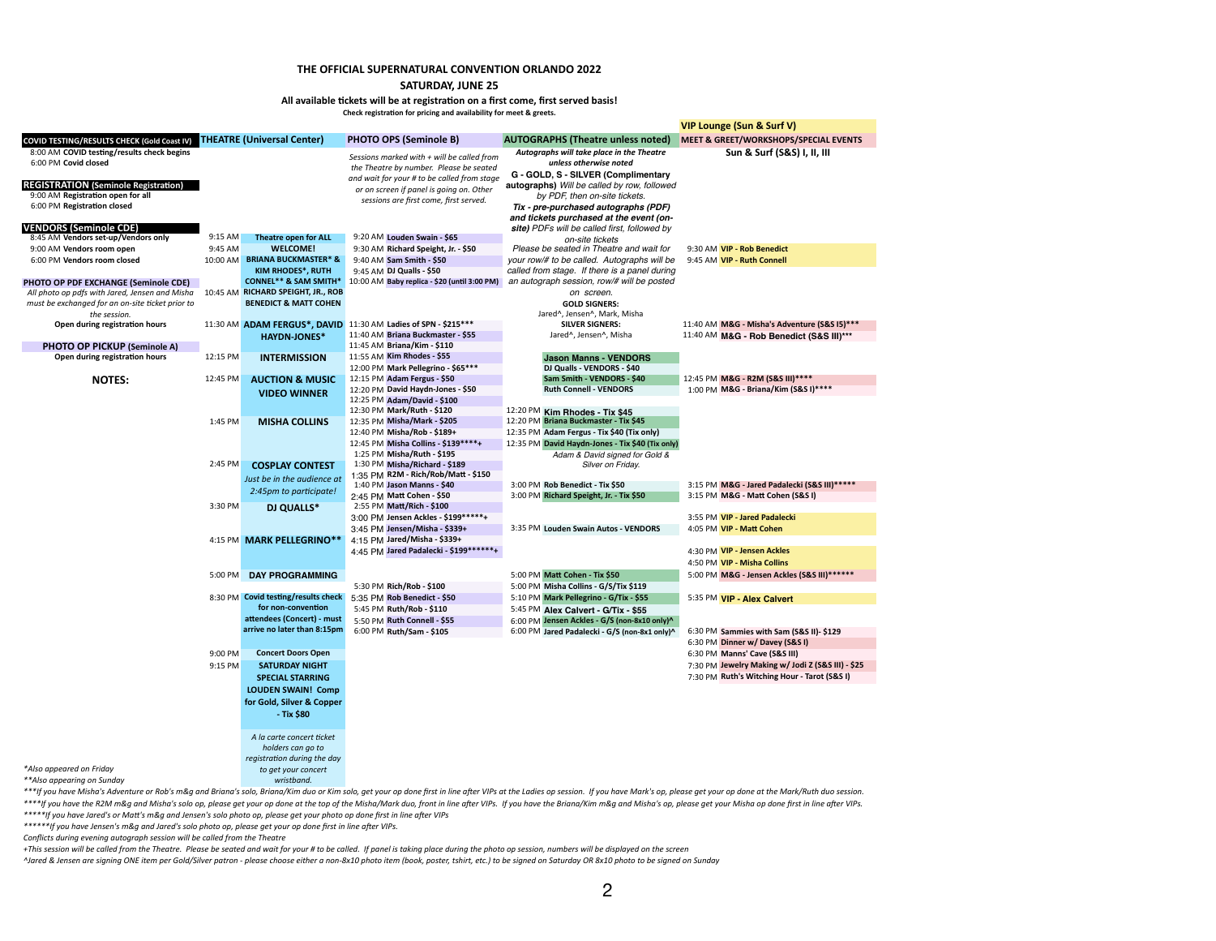# **THE OFFICIAL SUPERNATURAL CONVENTION ORLANDO 2022 SATURDAY, JUNE 25**

## **All available tickets will be at registration on a first come, first served basis!**

**Check registration for pricing and availability for meet & greets.**

|                                                                                                                 |          |                                                                | <b>ICON ICADOLIQUE IOI PHONG QUA QUANQUADITY TOI HICCCO, A BICCCO</b> |                                                                                                                                   |                                                                                                                                                             | <b>VIP Lounge (Sun &amp; Surf V)</b>              |
|-----------------------------------------------------------------------------------------------------------------|----------|----------------------------------------------------------------|-----------------------------------------------------------------------|-----------------------------------------------------------------------------------------------------------------------------------|-------------------------------------------------------------------------------------------------------------------------------------------------------------|---------------------------------------------------|
| <b>COVID TESTING/RESULTS CHECK (Gold Coast IV)</b>                                                              |          | <b>THEATRE (Universal Center)</b>                              |                                                                       | <b>PHOTO OPS (Seminole B)</b>                                                                                                     | <b>AUTOGRAPHS (Theatre unless noted)</b>                                                                                                                    | <b>MEET &amp; GREET/WORKSHOPS/SPECIAL EVENTS</b>  |
| 8:00 AM COVID testing/results check begins<br>6:00 PM Covid closed                                              |          |                                                                |                                                                       | Sessions marked with + will be called from<br>the Theatre by number. Please be seated                                             | Autographs will take place in the Theatre<br>unless otherwise noted                                                                                         | <b>Sun &amp; Surf (S&amp;S) I, II, III</b>        |
| <b>REGISTRATION (Seminole Registration)</b><br>9:00 AM Registration open for all<br>6:00 PM Registration closed |          |                                                                |                                                                       | and wait for your # to be called from stage<br>or on screen if panel is going on. Other<br>sessions are first come, first served. | G - GOLD, S - SILVER (Complimentary<br>autographs) Will be called by row, followed<br>by PDF, then on-site tickets.<br>Tix - pre-purchased autographs (PDF) |                                                   |
|                                                                                                                 |          |                                                                |                                                                       |                                                                                                                                   | and tickets purchased at the event (on-                                                                                                                     |                                                   |
| <b>VENDORS (Seminole CDE)</b><br>8:45 AM Vendors set-up/Vendors only                                            | 9:15 AM  | <b>Theatre open for ALL</b>                                    |                                                                       | 9:20 AM Louden Swain - \$65                                                                                                       | site) PDFs will be called first, followed by<br>on-site tickets                                                                                             |                                                   |
| 9:00 AM Vendors room open                                                                                       | 9:45 AM  | <b>WELCOME!</b>                                                |                                                                       | 9:30 AM Richard Speight, Jr. - \$50                                                                                               | Please be seated in Theatre and wait for                                                                                                                    | 9:30 AM VIP - Rob Benedict                        |
| 6:00 PM Vendors room closed                                                                                     | 10:00 AM | <b>BRIANA BUCKMASTER* &amp;</b>                                |                                                                       | 9:40 AM Sam Smith - \$50                                                                                                          | your row/# to be called. Autographs will be                                                                                                                 | 9:45 AM VIP - Ruth Connell                        |
|                                                                                                                 |          | <b>KIM RHODES*, RUTH</b>                                       |                                                                       | 9:45 AM DJ Qualls - \$50                                                                                                          | called from stage. If there is a panel during                                                                                                               |                                                   |
| <b>PHOTO OP PDF EXCHANGE (Seminole CDE)</b>                                                                     |          | <b>CONNEL** &amp; SAM SMITH*</b>                               |                                                                       | 10:00 AM Baby replica - \$20 (until 3:00 PM)                                                                                      | an autograph session, row/# will be posted                                                                                                                  |                                                   |
| All photo op pdfs with Jared, Jensen and Misha                                                                  |          | 10:45 AM RICHARD SPEIGHT, JR., ROB                             |                                                                       |                                                                                                                                   | on screen.                                                                                                                                                  |                                                   |
| must be exchanged for an on-site ticket prior to                                                                |          | <b>BENEDICT &amp; MATT COHEN</b>                               |                                                                       |                                                                                                                                   | <b>GOLD SIGNERS:</b>                                                                                                                                        |                                                   |
| the session.                                                                                                    |          |                                                                |                                                                       |                                                                                                                                   | Jared^, Jensen^, Mark, Misha                                                                                                                                |                                                   |
| Open during registration hours                                                                                  |          | 11:30 AM ADAM FERGUS*, DAVID 11:30 AM Ladies of SPN - \$215*** |                                                                       |                                                                                                                                   | <b>SILVER SIGNERS:</b>                                                                                                                                      | 11:40 AM M&G - Misha's Adventure (S&S I5)***      |
|                                                                                                                 |          | <b>HAYDN-JONES*</b>                                            |                                                                       | 11:40 AM Briana Buckmaster - \$55                                                                                                 | Jared^, Jensen^, Misha                                                                                                                                      | 11:40 AM M&G - Rob Benedict (S&S III)***          |
| <b>PHOTO OP PICKUP (Seminole A)</b><br>Open during registration hours                                           | 12:15 PM | <b>INTERMISSION</b>                                            |                                                                       | 11:45 AM Briana/Kim - \$110<br>11:55 AM Kim Rhodes - \$55                                                                         |                                                                                                                                                             |                                                   |
|                                                                                                                 |          |                                                                |                                                                       | 12:00 PM Mark Pellegrino - \$65***                                                                                                | <b>Jason Manns - VENDORS</b><br>DJ Qualls - VENDORS - \$40                                                                                                  |                                                   |
| <b>NOTES:</b>                                                                                                   | 12:45 PM | <b>AUCTION &amp; MUSIC</b>                                     |                                                                       | 12:15 PM Adam Fergus - \$50                                                                                                       | Sam Smith - VENDORS - \$40                                                                                                                                  | 12:45 PM M&G - R2M (S&S III)****                  |
|                                                                                                                 |          |                                                                |                                                                       | 12:20 PM David Haydn-Jones - \$50                                                                                                 | <b>Ruth Connell - VENDORS</b>                                                                                                                               | 1:00 PM M&G - Briana/Kim (S&S I)****              |
|                                                                                                                 |          | <b>VIDEO WINNER</b>                                            |                                                                       | 12:25 PM Adam/David - \$100                                                                                                       |                                                                                                                                                             |                                                   |
|                                                                                                                 |          |                                                                |                                                                       | 12:30 PM Mark/Ruth - \$120                                                                                                        | 12:20 PM Kim Rhodes - Tix \$45                                                                                                                              |                                                   |
|                                                                                                                 | 1:45 PM  | <b>MISHA COLLINS</b>                                           |                                                                       | 12:35 PM Misha/Mark - \$205                                                                                                       | 12:20 PM Briana Buckmaster - Tix \$45                                                                                                                       |                                                   |
|                                                                                                                 |          |                                                                |                                                                       | 12:40 PM Misha/Rob - \$189+                                                                                                       | 12:35 PM Adam Fergus - Tix \$40 (Tix only)                                                                                                                  |                                                   |
|                                                                                                                 |          |                                                                |                                                                       | 12:45 PM Misha Collins - \$139 **** +                                                                                             | 12:35 PM David Haydn-Jones - Tix \$40 (Tix only)                                                                                                            |                                                   |
|                                                                                                                 |          |                                                                |                                                                       | 1:25 PM Misha/Ruth - \$195                                                                                                        | Adam & David signed for Gold &                                                                                                                              |                                                   |
|                                                                                                                 | 2:45 PM  | <b>COSPLAY CONTEST</b>                                         |                                                                       | 1:30 PM Misha/Richard - \$189                                                                                                     | Silver on Friday.                                                                                                                                           |                                                   |
|                                                                                                                 |          | Just be in the audience at                                     |                                                                       | 1:35 PM R2M - Rich/Rob/Matt - \$150                                                                                               | 3:00 PM Rob Benedict - Tix \$50                                                                                                                             | 3:15 PM M&G - Jared Padalecki (S&S III)******     |
|                                                                                                                 |          | 2:45pm to participate!                                         |                                                                       | $1:40$ PM Jason Manns - \$40<br>2:45 PM Matt Cohen - \$50                                                                         | 3:00 PM Richard Speight, Jr. - Tix \$50                                                                                                                     | 3:15 PM M&G - Matt Cohen (S&S I)                  |
|                                                                                                                 | 3:30 PM  | DJ QUALLS*                                                     |                                                                       | 2:55 PM Matt/Rich - \$100                                                                                                         |                                                                                                                                                             |                                                   |
|                                                                                                                 |          |                                                                |                                                                       | 3:00 PM Jensen Ackles - \$199******+                                                                                              |                                                                                                                                                             | 3:55 PM VIP - Jared Padalecki                     |
|                                                                                                                 |          |                                                                |                                                                       | 3:45 PM Jensen/Misha - \$339+                                                                                                     | 3:35 PM Louden Swain Autos - VENDORS                                                                                                                        | 4:05 PM VIP - Matt Cohen                          |
|                                                                                                                 |          | 4:15 PM MARK PELLEGRINO**                                      |                                                                       | 4:15 PM Jared/Misha - \$339+                                                                                                      |                                                                                                                                                             |                                                   |
|                                                                                                                 |          |                                                                |                                                                       | 4:45 PM Jared Padalecki - \$199 *******+                                                                                          |                                                                                                                                                             | 4:30 PM VIP - Jensen Ackles                       |
|                                                                                                                 |          |                                                                |                                                                       |                                                                                                                                   |                                                                                                                                                             | 4:50 PM VIP - Misha Collins                       |
|                                                                                                                 | 5:00 PM  | <b>DAY PROGRAMMING</b>                                         |                                                                       |                                                                                                                                   | 5:00 PM Matt Cohen - Tix \$50                                                                                                                               | 5:00 PM M&G - Jensen Ackles (S&S III) ******      |
|                                                                                                                 |          |                                                                |                                                                       | 5:30 PM Rich/Rob - \$100                                                                                                          | 5:00 PM Misha Collins - G/S/Tix \$119                                                                                                                       |                                                   |
|                                                                                                                 |          | 8:30 PM Covid testing/results check                            |                                                                       | 5:35 PM Rob Benedict - \$50                                                                                                       | 5:10 PM Mark Pellegrino - G/Tix - \$55                                                                                                                      | 5:35 PM VIP - Alex Calvert                        |
|                                                                                                                 |          | for non-convention                                             |                                                                       | 5:45 PM Ruth/Rob - \$110                                                                                                          | 5:45 PM Alex Calvert - G/Tix - \$55                                                                                                                         |                                                   |
|                                                                                                                 |          | attendees (Concert) - must                                     |                                                                       | 5:50 PM Ruth Connell - \$55                                                                                                       | 6:00 PM Jensen Ackles - G/S (non-8x10 only)^                                                                                                                |                                                   |
|                                                                                                                 |          | arrive no later than 8:15pm                                    |                                                                       | 6:00 PM Ruth/Sam - \$105                                                                                                          | 6:00 PM Jared Padalecki - G/S (non-8x1 only)^                                                                                                               | 6:30 PM Sammies with Sam (S&S II)- \$129          |
|                                                                                                                 |          |                                                                |                                                                       |                                                                                                                                   |                                                                                                                                                             | 6:30 PM Dinner w/ Davey (S&S I)                   |
|                                                                                                                 | 9:00 PM  | <b>Concert Doors Open</b>                                      |                                                                       |                                                                                                                                   |                                                                                                                                                             | 6:30 PM Manns' Cave (S&S III)                     |
|                                                                                                                 | 9:15 PM  | <b>SATURDAY NIGHT</b>                                          |                                                                       |                                                                                                                                   |                                                                                                                                                             | 7:30 PM Jewelry Making w/ Jodi Z (S&S III) - \$25 |
|                                                                                                                 |          | <b>SPECIAL STARRING</b>                                        |                                                                       |                                                                                                                                   |                                                                                                                                                             | 7:30 PM Ruth's Witching Hour - Tarot (S&S I)      |
|                                                                                                                 |          | <b>LOUDEN SWAIN! Comp</b>                                      |                                                                       |                                                                                                                                   |                                                                                                                                                             |                                                   |
|                                                                                                                 |          | for Gold, Silver & Copper                                      |                                                                       |                                                                                                                                   |                                                                                                                                                             |                                                   |
|                                                                                                                 |          | - Tix \$80                                                     |                                                                       |                                                                                                                                   |                                                                                                                                                             |                                                   |
|                                                                                                                 |          |                                                                |                                                                       |                                                                                                                                   |                                                                                                                                                             |                                                   |
|                                                                                                                 |          | A la carte concert ticket                                      |                                                                       |                                                                                                                                   |                                                                                                                                                             |                                                   |
|                                                                                                                 |          | holders can go to                                              |                                                                       |                                                                                                                                   |                                                                                                                                                             |                                                   |
|                                                                                                                 |          | registration during the day                                    |                                                                       |                                                                                                                                   |                                                                                                                                                             |                                                   |
| *Also appeared on Friday                                                                                        |          | to get your concert                                            |                                                                       |                                                                                                                                   |                                                                                                                                                             |                                                   |
| **Also appearing on Sunday                                                                                      |          | wristband.                                                     |                                                                       |                                                                                                                                   |                                                                                                                                                             |                                                   |

\*\*\*If you have Misha's Adventure or Rob's m&g and Briana's solo, Briana/Kim duo or Kim solo, get your op done first in line after VIPs at the Ladies op session. If you have Mark's op, please get your op done at the Mark/Ru \*\*\*\*If you have the R2M m&g and Misha's solo op, please get your op done at the top of the Misha/Mark duo, front in line after VIPs. If you have the Briana/Kim m&g and Misha's op, please get your Misha op done first in lin *\*\*\*\*\*If you have Jared's or Matt's m&g and Jensen's solo photo op, please get your photo op done first in line after VIPs*

*\*\*Also appearing on Sunday*

*\*\*\*\*\*\*If you have Jensen's m&g and Jared's solo photo op, please get your op done first in line after VIPs.*

*Conflicts during evening autograph session will be called from the Theatre*

*+This session will be called from the Theatre. Please be seated and wait for your # to be called. If panel is taking place during the photo op session, numbers will be displayed on the screen ^Jared & Jensen are signing ONE item per Gold/Silver patron - please choose either a non-8x10 photo item (book, poster, tshirt, etc.) to be signed on Saturday OR 8x10 photo to be signed on Sunday*